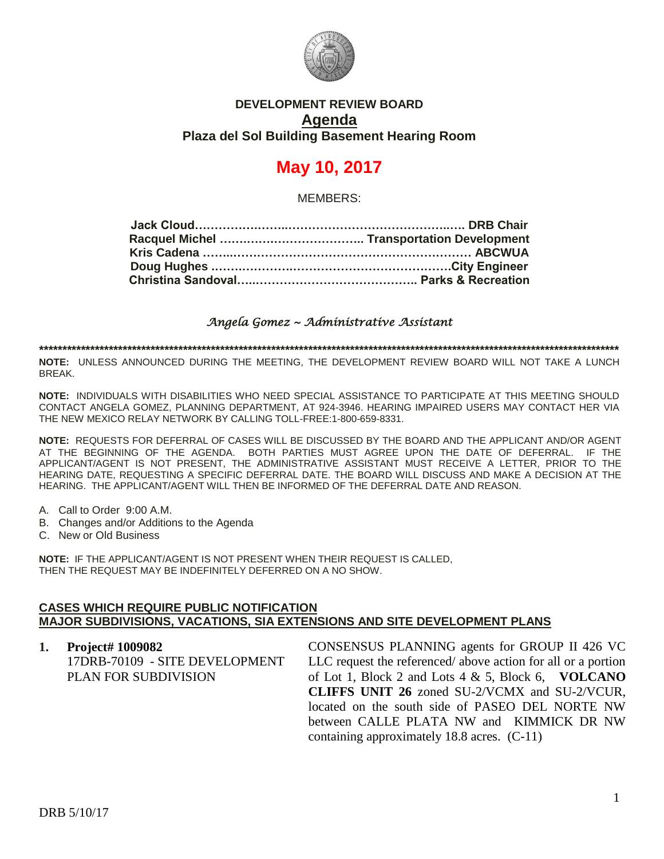

## **DEVELOPMENT REVIEW BOARD Agenda Plaza del Sol Building Basement Hearing Room**

# **May 10, 2017**

MEMBERS:

*Angela Gomez ~ Administrative Assistant* 

**\*\*\*\*\*\*\*\*\*\*\*\*\*\*\*\*\*\*\*\*\*\*\*\*\*\*\*\*\*\*\*\*\*\*\*\*\*\*\*\*\*\*\*\*\*\*\*\*\*\*\*\*\*\*\*\*\*\*\*\*\*\*\*\*\*\*\*\*\*\*\*\*\*\*\*\*\*\*\*\*\*\*\*\*\*\*\*\*\*\*\*\*\*\*\*\*\*\*\*\*\*\*\*\*\*\*\*\*\*\*\*\*\*\*\*\*\*\*\*\*\*\*\*\*\***

**NOTE:** UNLESS ANNOUNCED DURING THE MEETING, THE DEVELOPMENT REVIEW BOARD WILL NOT TAKE A LUNCH BREAK.

**NOTE:** INDIVIDUALS WITH DISABILITIES WHO NEED SPECIAL ASSISTANCE TO PARTICIPATE AT THIS MEETING SHOULD CONTACT ANGELA GOMEZ, PLANNING DEPARTMENT, AT 924-3946. HEARING IMPAIRED USERS MAY CONTACT HER VIA THE NEW MEXICO RELAY NETWORK BY CALLING TOLL-FREE:1-800-659-8331.

**NOTE:** REQUESTS FOR DEFERRAL OF CASES WILL BE DISCUSSED BY THE BOARD AND THE APPLICANT AND/OR AGENT AT THE BEGINNING OF THE AGENDA. BOTH PARTIES MUST AGREE UPON THE DATE OF DEFERRAL. IF THE APPLICANT/AGENT IS NOT PRESENT, THE ADMINISTRATIVE ASSISTANT MUST RECEIVE A LETTER, PRIOR TO THE HEARING DATE, REQUESTING A SPECIFIC DEFERRAL DATE. THE BOARD WILL DISCUSS AND MAKE A DECISION AT THE HEARING. THE APPLICANT/AGENT WILL THEN BE INFORMED OF THE DEFERRAL DATE AND REASON.

- A. Call to Order 9:00 A.M.
- B. Changes and/or Additions to the Agenda
- C. New or Old Business

**NOTE:** IF THE APPLICANT/AGENT IS NOT PRESENT WHEN THEIR REQUEST IS CALLED, THEN THE REQUEST MAY BE INDEFINITELY DEFERRED ON A NO SHOW.

#### **CASES WHICH REQUIRE PUBLIC NOTIFICATION MAJOR SUBDIVISIONS, VACATIONS, SIA EXTENSIONS AND SITE DEVELOPMENT PLANS**

#### **1. Project# 1009082**

17DRB-70109 - SITE DEVELOPMENT PLAN FOR SUBDIVISION

CONSENSUS PLANNING agents for GROUP II 426 VC LLC request the referenced/ above action for all or a portion of Lot 1, Block 2 and Lots 4 & 5, Block 6, **VOLCANO CLIFFS UNIT 26** zoned SU-2/VCMX and SU-2/VCUR, located on the south side of PASEO DEL NORTE NW between CALLE PLATA NW and KIMMICK DR NW containing approximately 18.8 acres. (C-11)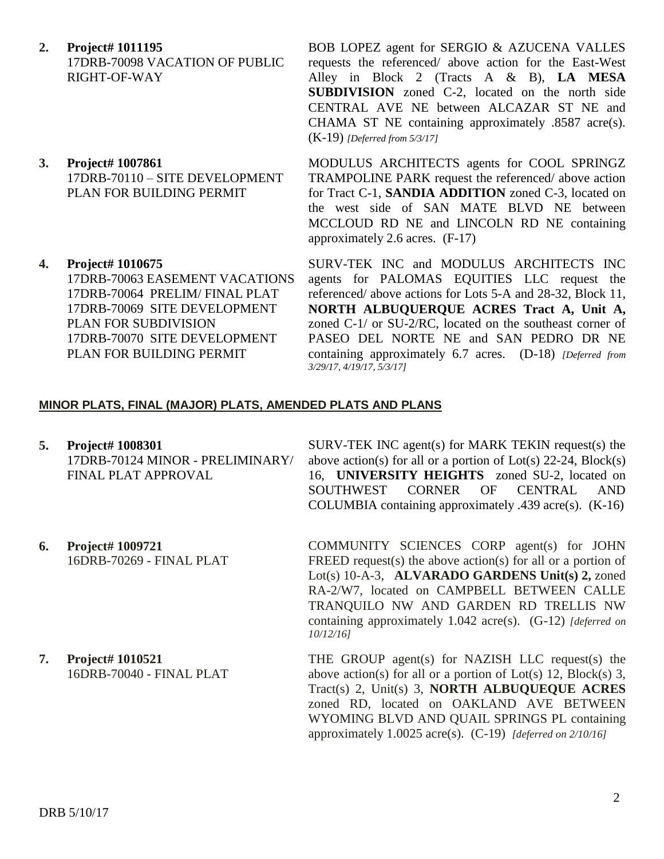- **2. Project# 1011195** 17DRB-70098 VACATION OF PUBLIC RIGHT-OF-WAY
- **3. Project# 1007861** 17DRB-70110 – SITE DEVELOPMENT PLAN FOR BUILDING PERMIT
- **4. Project# 1010675** 17DRB-70063 EASEMENT VACATIONS 17DRB-70064 PRELIM/ FINAL PLAT 17DRB-70069 SITE DEVELOPMENT PLAN FOR SUBDIVISION 17DRB-70070 SITE DEVELOPMENT PLAN FOR BUILDING PERMIT

BOB LOPEZ agent for SERGIO & AZUCENA VALLES requests the referenced/ above action for the East-West Alley in Block 2 (Tracts A & B), **LA MESA SUBDIVISION** zoned C-2, located on the north side CENTRAL AVE NE between ALCAZAR ST NE and CHAMA ST NE containing approximately .8587 acre(s). (K-19) *[Deferred from 5/3/17]*

MODULUS ARCHITECTS agents for COOL SPRINGZ TRAMPOLINE PARK request the referenced/ above action for Tract C-1, **SANDIA ADDITION** zoned C-3, located on the west side of SAN MATE BLVD NE between MCCLOUD RD NE and LINCOLN RD NE containing approximately 2.6 acres. (F-17)

SURV-TEK INC and MODULUS ARCHITECTS INC agents for PALOMAS EQUITIES LLC request the referenced/ above actions for Lots 5-A and 28-32, Block 11, **NORTH ALBUQUERQUE ACRES Tract A, Unit A,** zoned C-1/ or SU-2/RC, located on the southeast corner of PASEO DEL NORTE NE and SAN PEDRO DR NE containing approximately 6.7 acres. (D-18) *[Deferred from 3/29/17, 4/19/17, 5/3/17]*

### **MINOR PLATS, FINAL (MAJOR) PLATS, AMENDED PLATS AND PLANS**

**5. Project# 1008301** 17DRB-70124 MINOR - PRELIMINARY/ FINAL PLAT APPROVAL

**6. Project# 1009721** 16DRB-70269 - FINAL PLAT

- SURV-TEK INC agent(s) for MARK TEKIN request(s) the above action(s) for all or a portion of  $Lot(s)$  22-24,  $Block(s)$ 16, **UNIVERSITY HEIGHTS** zoned SU-2, located on SOUTHWEST CORNER OF CENTRAL AND COLUMBIA containing approximately .439 acre(s). (K-16)
- COMMUNITY SCIENCES CORP agent(s) for JOHN FREED request(s) the above action(s) for all or a portion of Lot(s) 10-A-3, **ALVARADO GARDENS Unit(s) 2,** zoned RA-2/W7, located on CAMPBELL BETWEEN CALLE TRANQUILO NW AND GARDEN RD TRELLIS NW containing approximately 1.042 acre(s). (G-12) *[deferred on 10/12/16]*
- **7. Project# 1010521** 16DRB-70040 - FINAL PLAT THE GROUP agent(s) for NAZISH LLC request(s) the above action(s) for all or a portion of  $Lot(s)$  12,  $Block(s)$  3, Tract(s) 2, Unit(s) 3, **NORTH ALBUQUEQUE ACRES** zoned RD, located on OAKLAND AVE BETWEEN WYOMING BLVD AND QUAIL SPRINGS PL containing approximately 1.0025 acre(s). (C-19) *[deferred on 2/10/16]*